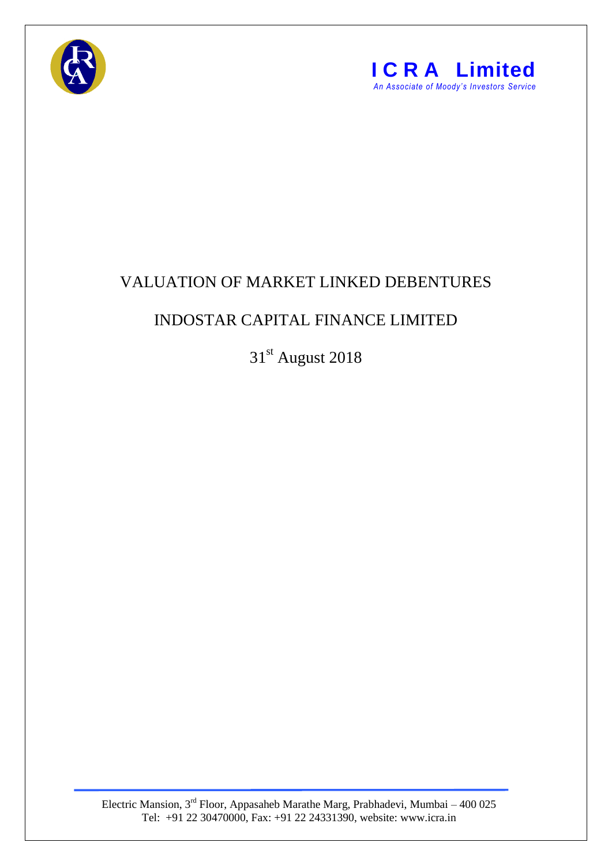



## VALUATION OF MARKET LINKED DEBENTURES

## INDOSTAR CAPITAL FINANCE LIMITED

31st August 2018